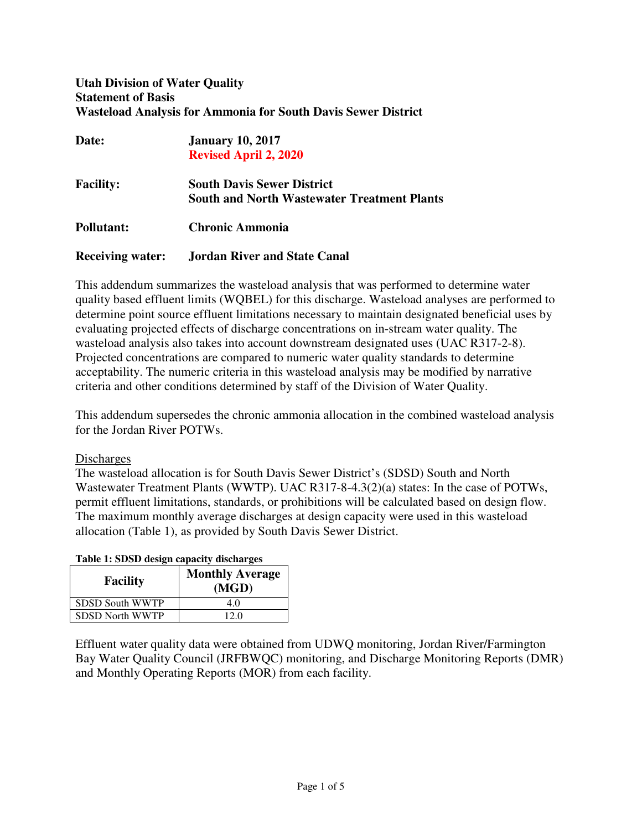# **Utah Division of Water Quality Statement of Basis Wasteload Analysis for Ammonia for South Davis Sewer District**

| Date:                   | <b>January 10, 2017</b><br><b>Revised April 2, 2020</b>                                 |
|-------------------------|-----------------------------------------------------------------------------------------|
| <b>Facility:</b>        | <b>South Davis Sewer District</b><br><b>South and North Wastewater Treatment Plants</b> |
| <b>Pollutant:</b>       | Chronic Ammonia                                                                         |
| <b>Receiving water:</b> | <b>Jordan River and State Canal</b>                                                     |

This addendum summarizes the wasteload analysis that was performed to determine water quality based effluent limits (WQBEL) for this discharge. Wasteload analyses are performed to determine point source effluent limitations necessary to maintain designated beneficial uses by evaluating projected effects of discharge concentrations on in-stream water quality. The wasteload analysis also takes into account downstream designated uses (UAC R317-2-8). Projected concentrations are compared to numeric water quality standards to determine acceptability. The numeric criteria in this wasteload analysis may be modified by narrative criteria and other conditions determined by staff of the Division of Water Quality.

This addendum supersedes the chronic ammonia allocation in the combined wasteload analysis for the Jordan River POTWs.

# **Discharges**

The wasteload allocation is for South Davis Sewer District's (SDSD) South and North Wastewater Treatment Plants (WWTP). UAC R317-8-4.3(2)(a) states: In the case of POTWs, permit effluent limitations, standards, or prohibitions will be calculated based on design flow. The maximum monthly average discharges at design capacity were used in this wasteload allocation (Table 1), as provided by South Davis Sewer District.

| <b>Facility</b>        | <b>Monthly Average</b><br>(MGD) |
|------------------------|---------------------------------|
| <b>SDSD South WWTP</b> | 4 O                             |

# **Table 1: SDSD design capacity discharges**

SDSD North WWTP 12.0

Effluent water quality data were obtained from UDWQ monitoring, Jordan River/Farmington Bay Water Quality Council (JRFBWQC) monitoring, and Discharge Monitoring Reports (DMR) and Monthly Operating Reports (MOR) from each facility.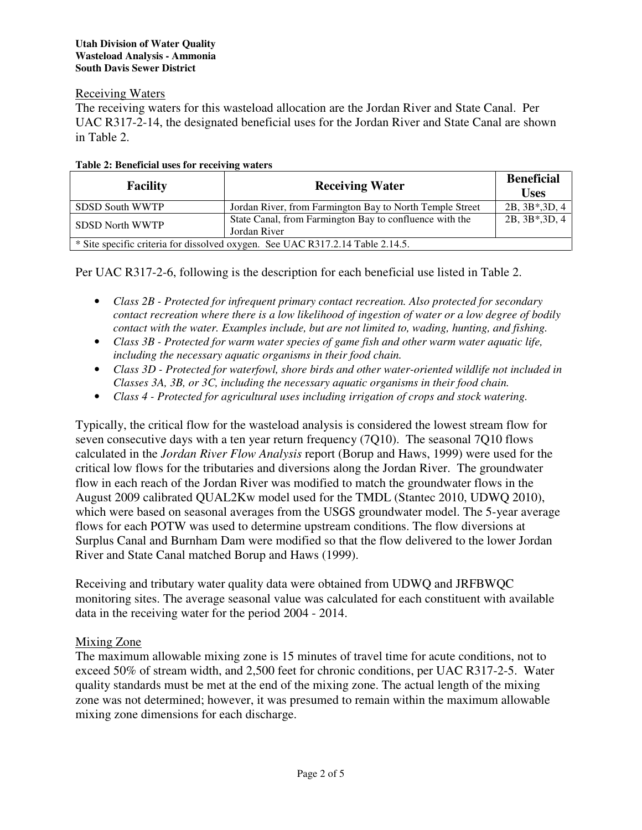# Receiving Waters

The receiving waters for this wasteload allocation are the Jordan River and State Canal. Per UAC R317-2-14, the designated beneficial uses for the Jordan River and State Canal are shown in Table 2.

| <b>Facility</b>        | <b>Receiving Water</b>                                                         | <b>Beneficial</b><br><b>Uses</b> |
|------------------------|--------------------------------------------------------------------------------|----------------------------------|
| SDSD South WWTP        | Jordan River, from Farmington Bay to North Temple Street                       | $2B, 3B*, 3D, 4$                 |
| <b>SDSD North WWTP</b> | State Canal, from Farmington Bay to confluence with the<br>Jordan River        | $2B, 3B*, 3D, 4$                 |
|                        | * Site specific criteria for dissolved oxygen. See UAC R317.2.14 Table 2.14.5. |                                  |

# **Table 2: Beneficial uses for receiving waters**

Per UAC R317-2-6, following is the description for each beneficial use listed in Table 2.

- *Class 2B Protected for infrequent primary contact recreation. Also protected for secondary contact recreation where there is a low likelihood of ingestion of water or a low degree of bodily contact with the water. Examples include, but are not limited to, wading, hunting, and fishing.*
- *Class 3B Protected for warm water species of game fish and other warm water aquatic life, including the necessary aquatic organisms in their food chain.*
- *Class 3D Protected for waterfowl, shore birds and other water-oriented wildlife not included in Classes 3A, 3B, or 3C, including the necessary aquatic organisms in their food chain.*
- *Class 4 Protected for agricultural uses including irrigation of crops and stock watering.*

Typically, the critical flow for the wasteload analysis is considered the lowest stream flow for seven consecutive days with a ten year return frequency (7Q10). The seasonal 7Q10 flows calculated in the *Jordan River Flow Analysis* report (Borup and Haws, 1999) were used for the critical low flows for the tributaries and diversions along the Jordan River. The groundwater flow in each reach of the Jordan River was modified to match the groundwater flows in the August 2009 calibrated QUAL2Kw model used for the TMDL (Stantec 2010, UDWQ 2010), which were based on seasonal averages from the USGS groundwater model. The 5-year average flows for each POTW was used to determine upstream conditions. The flow diversions at Surplus Canal and Burnham Dam were modified so that the flow delivered to the lower Jordan River and State Canal matched Borup and Haws (1999).

Receiving and tributary water quality data were obtained from UDWQ and JRFBWQC monitoring sites. The average seasonal value was calculated for each constituent with available data in the receiving water for the period 2004 - 2014.

# Mixing Zone

The maximum allowable mixing zone is 15 minutes of travel time for acute conditions, not to exceed 50% of stream width, and 2,500 feet for chronic conditions, per UAC R317-2-5. Water quality standards must be met at the end of the mixing zone. The actual length of the mixing zone was not determined; however, it was presumed to remain within the maximum allowable mixing zone dimensions for each discharge.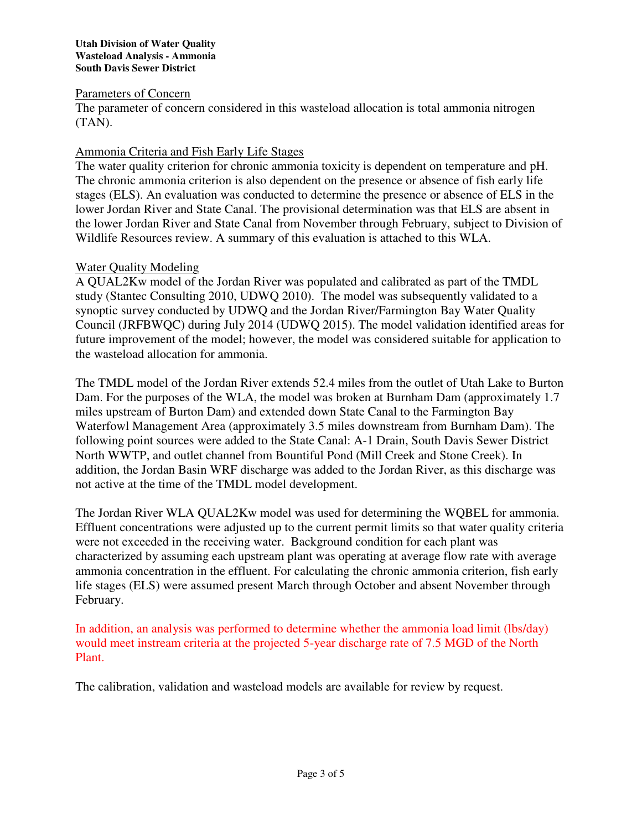## **Utah Division of Water Quality Wasteload Analysis - Ammonia South Davis Sewer District**

# Parameters of Concern

The parameter of concern considered in this wasteload allocation is total ammonia nitrogen (TAN).

# Ammonia Criteria and Fish Early Life Stages

The water quality criterion for chronic ammonia toxicity is dependent on temperature and pH. The chronic ammonia criterion is also dependent on the presence or absence of fish early life stages (ELS). An evaluation was conducted to determine the presence or absence of ELS in the lower Jordan River and State Canal. The provisional determination was that ELS are absent in the lower Jordan River and State Canal from November through February, subject to Division of Wildlife Resources review. A summary of this evaluation is attached to this WLA.

# Water Quality Modeling

A QUAL2Kw model of the Jordan River was populated and calibrated as part of the TMDL study (Stantec Consulting 2010, UDWQ 2010). The model was subsequently validated to a synoptic survey conducted by UDWQ and the Jordan River/Farmington Bay Water Quality Council (JRFBWQC) during July 2014 (UDWQ 2015). The model validation identified areas for future improvement of the model; however, the model was considered suitable for application to the wasteload allocation for ammonia.

The TMDL model of the Jordan River extends 52.4 miles from the outlet of Utah Lake to Burton Dam. For the purposes of the WLA, the model was broken at Burnham Dam (approximately 1.7 miles upstream of Burton Dam) and extended down State Canal to the Farmington Bay Waterfowl Management Area (approximately 3.5 miles downstream from Burnham Dam). The following point sources were added to the State Canal: A-1 Drain, South Davis Sewer District North WWTP, and outlet channel from Bountiful Pond (Mill Creek and Stone Creek). In addition, the Jordan Basin WRF discharge was added to the Jordan River, as this discharge was not active at the time of the TMDL model development.

The Jordan River WLA QUAL2Kw model was used for determining the WQBEL for ammonia. Effluent concentrations were adjusted up to the current permit limits so that water quality criteria were not exceeded in the receiving water. Background condition for each plant was characterized by assuming each upstream plant was operating at average flow rate with average ammonia concentration in the effluent. For calculating the chronic ammonia criterion, fish early life stages (ELS) were assumed present March through October and absent November through February.

In addition, an analysis was performed to determine whether the ammonia load limit (lbs/day) would meet instream criteria at the projected 5-year discharge rate of 7.5 MGD of the North Plant.

The calibration, validation and wasteload models are available for review by request.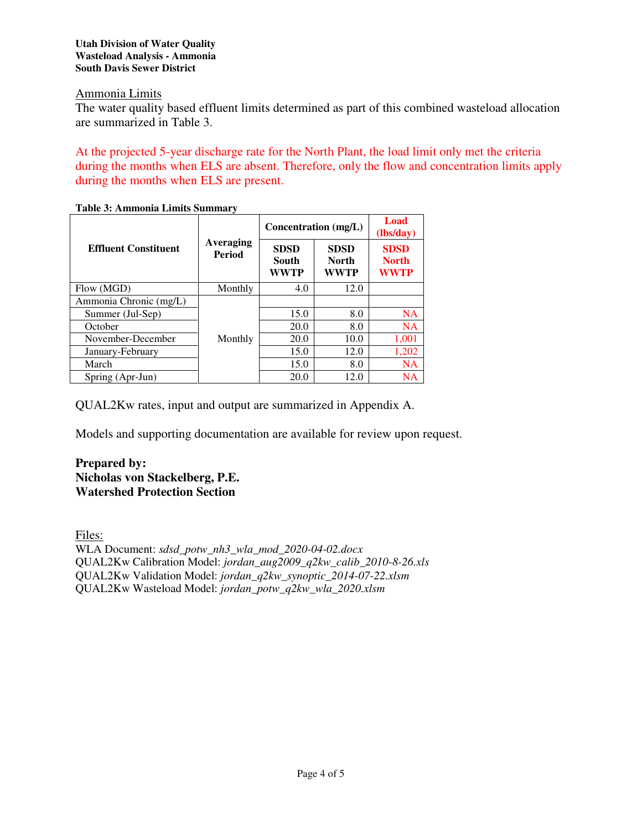## **Utah Division of Water Quality Wasteload Analysis - Ammonia South Davis Sewer District**

# Ammonia Limits

The water quality based effluent limits determined as part of this combined wasteload allocation are summarized in Table 3.

At the projected 5-year discharge rate for the North Plant, the load limit only met the criteria during the months when ELS are absent. Therefore, only the flow and concentration limits apply during the months when ELS are present.

| Table 9. Allillionia Linnus Sunningi v |                            |                                     |                                     |                                            |
|----------------------------------------|----------------------------|-------------------------------------|-------------------------------------|--------------------------------------------|
|                                        |                            | Concentration (mg/L)                |                                     | Load<br>(lbs/day)                          |
| <b>Effluent Constituent</b>            | Averaging<br><b>Period</b> | <b>SDSD</b><br>South<br><b>WWTP</b> | <b>SDSD</b><br><b>North</b><br>WWTP | <b>SDSD</b><br><b>North</b><br><b>WWTP</b> |
| Flow (MGD)                             | Monthly                    | 4.0                                 | 12.0                                |                                            |
| Ammonia Chronic (mg/L)                 |                            |                                     |                                     |                                            |
| Summer (Jul-Sep)                       |                            | 15.0                                | 8.0                                 | <b>NA</b>                                  |
| October                                |                            | 20.0                                | 8.0                                 | <b>NA</b>                                  |
| November-December                      | Monthly                    | 20.0                                | 10.0                                | 1,001                                      |
| January-February                       |                            | 15.0                                | 12.0                                | 1,202                                      |
| March                                  |                            | 15.0                                | 8.0                                 | <b>NA</b>                                  |
| Spring (Apr-Jun)                       |                            | 20.0                                | 12.0                                | NA                                         |

**Table 3: Ammonia Limits Summary** 

QUAL2Kw rates, input and output are summarized in Appendix A.

Models and supporting documentation are available for review upon request.

# **Prepared by: Nicholas von Stackelberg, P.E. Watershed Protection Section**

Files:

WLA Document: *sdsd\_potw\_nh3\_wla\_mod\_2020-04-02.docx* QUAL2Kw Calibration Model: *jordan\_aug2009\_q2kw\_calib\_2010-8-26.xls*  QUAL2Kw Validation Model: *jordan\_q2kw\_synoptic\_2014-07-22.xlsm*  QUAL2Kw Wasteload Model: *jordan\_potw\_q2kw\_wla\_2020.xlsm*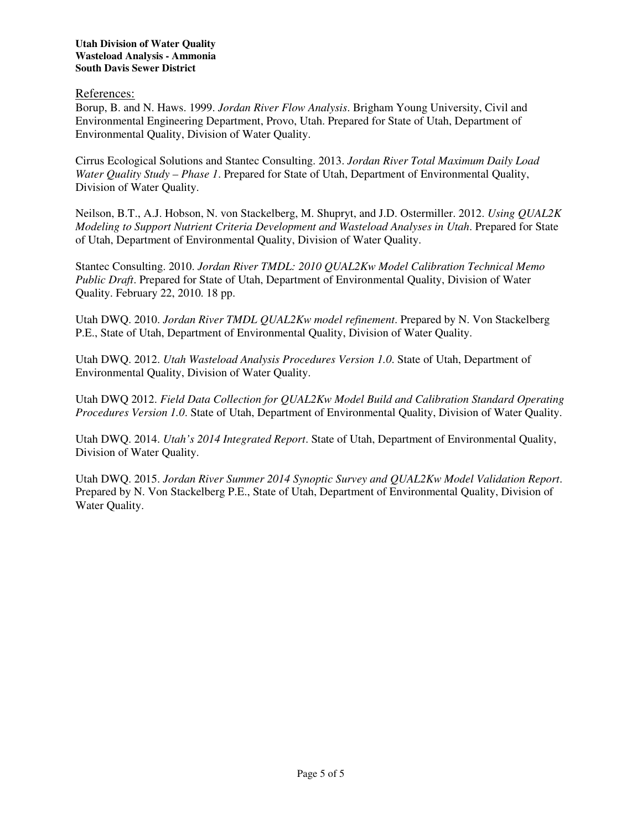References:

Borup, B. and N. Haws. 1999. *Jordan River Flow Analysis*. Brigham Young University, Civil and Environmental Engineering Department, Provo, Utah. Prepared for State of Utah, Department of Environmental Quality, Division of Water Quality.

Cirrus Ecological Solutions and Stantec Consulting. 2013. *Jordan River Total Maximum Daily Load Water Quality Study – Phase 1*. Prepared for State of Utah, Department of Environmental Quality, Division of Water Quality.

Neilson, B.T., A.J. Hobson, N. von Stackelberg, M. Shupryt, and J.D. Ostermiller. 2012. *Using QUAL2K Modeling to Support Nutrient Criteria Development and Wasteload Analyses in Utah*. Prepared for State of Utah, Department of Environmental Quality, Division of Water Quality.

Stantec Consulting. 2010. *Jordan River TMDL: 2010 QUAL2Kw Model Calibration Technical Memo Public Draft*. Prepared for State of Utah, Department of Environmental Quality, Division of Water Quality. February 22, 2010. 18 pp.

Utah DWQ. 2010. *Jordan River TMDL QUAL2Kw model refinement*. Prepared by N. Von Stackelberg P.E., State of Utah, Department of Environmental Quality, Division of Water Quality.

Utah DWQ. 2012. *Utah Wasteload Analysis Procedures Version 1.0*. State of Utah, Department of Environmental Quality, Division of Water Quality.

Utah DWQ 2012. *Field Data Collection for QUAL2Kw Model Build and Calibration Standard Operating Procedures Version 1.0*. State of Utah, Department of Environmental Quality, Division of Water Quality.

Utah DWQ. 2014. *Utah's 2014 Integrated Report*. State of Utah, Department of Environmental Quality, Division of Water Quality.

Utah DWQ. 2015. *Jordan River Summer 2014 Synoptic Survey and QUAL2Kw Model Validation Report*. Prepared by N. Von Stackelberg P.E., State of Utah, Department of Environmental Quality, Division of Water Quality.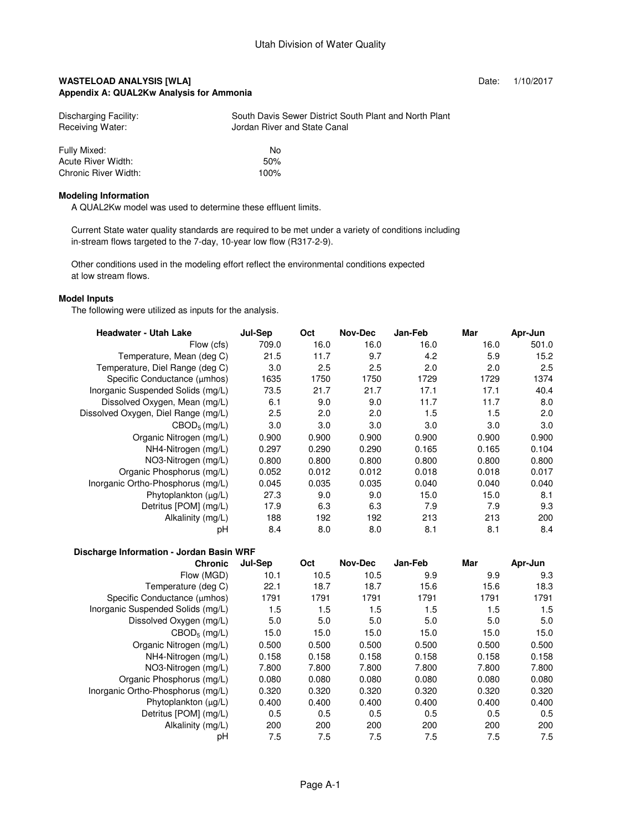### **WASTELOAD ANALYSIS [WLA] Date: 1/10/2017 Appendix A: QUAL2Kw Analysis for Ammonia**

| Discharging Facility:<br>Receiving Water: | South Davis Sewer District South Plant and North Plant<br>Jordan River and State Canal |
|-------------------------------------------|----------------------------------------------------------------------------------------|
| Fully Mixed:                              | No                                                                                     |
| Acute River Width:                        | 50%                                                                                    |
| Chronic River Width:                      | 100%                                                                                   |

#### **Modeling Information**

A QUAL2Kw model was used to determine these effluent limits.

 Current State water quality standards are required to be met under a variety of conditions including in-stream flows targeted to the 7-day, 10-year low flow (R317-2-9).

 Other conditions used in the modeling effort reflect the environmental conditions expected at low stream flows.

#### **Model Inputs**

The following were utilized as inputs for the analysis.

 **Discharge Information - Jordan Basin WRF**

| <b>Headwater - Utah Lake</b>        | Jul-Sep | Oct   | Nov-Dec | Jan-Feb | Mar   | Apr-Jun |
|-------------------------------------|---------|-------|---------|---------|-------|---------|
| Flow (cfs)                          | 709.0   | 16.0  | 16.0    | 16.0    | 16.0  | 501.0   |
| Temperature, Mean (deg C)           | 21.5    | 11.7  | 9.7     | 4.2     | 5.9   | 15.2    |
| Temperature, Diel Range (deg C)     | 3.0     | 2.5   | 2.5     | 2.0     | 2.0   | 2.5     |
| Specific Conductance (µmhos)        | 1635    | 1750  | 1750    | 1729    | 1729  | 1374    |
| Inorganic Suspended Solids (mg/L)   | 73.5    | 21.7  | 21.7    | 17.1    | 17.1  | 40.4    |
| Dissolved Oxygen, Mean (mg/L)       | 6.1     | 9.0   | 9.0     | 11.7    | 11.7  | 8.0     |
| Dissolved Oxygen, Diel Range (mg/L) | 2.5     | 2.0   | 2.0     | 1.5     | 1.5   | 2.0     |
| $CBOD_5$ (mg/L)                     | 3.0     | 3.0   | 3.0     | 3.0     | 3.0   | 3.0     |
| Organic Nitrogen (mg/L)             | 0.900   | 0.900 | 0.900   | 0.900   | 0.900 | 0.900   |
| NH4-Nitrogen (mg/L)                 | 0.297   | 0.290 | 0.290   | 0.165   | 0.165 | 0.104   |
| NO3-Nitrogen (mg/L)                 | 0.800   | 0.800 | 0.800   | 0.800   | 0.800 | 0.800   |
| Organic Phosphorus (mg/L)           | 0.052   | 0.012 | 0.012   | 0.018   | 0.018 | 0.017   |
| Inorganic Ortho-Phosphorus (mg/L)   | 0.045   | 0.035 | 0.035   | 0.040   | 0.040 | 0.040   |
| Phytoplankton $(uq/L)$              | 27.3    | 9.0   | 9.0     | 15.0    | 15.0  | 8.1     |
| Detritus [POM] (mg/L)               | 17.9    | 6.3   | 6.3     | 7.9     | 7.9   | 9.3     |
| Alkalinity (mg/L)                   | 188     | 192   | 192     | 213     | 213   | 200     |
| рH                                  | 8.4     | 8.0   | 8.0     | 8.1     | 8.1   | 8.4     |

| .ಎ-<br><b>Chronic</b>             | Jul-Sep | Oct   | <b>Nov-Dec</b> | Jan-Feb | Mar   | Apr-Jun |
|-----------------------------------|---------|-------|----------------|---------|-------|---------|
| Flow (MGD)                        | 10.1    | 10.5  | 10.5           | 9.9     | 9.9   | 9.3     |
| Temperature (deg C)               | 22.1    | 18.7  | 18.7           | 15.6    | 15.6  | 18.3    |
| Specific Conductance (umhos)      | 1791    | 1791  | 1791           | 1791    | 1791  | 1791    |
| Inorganic Suspended Solids (mg/L) | 1.5     | 1.5   | 1.5            | 1.5     | 1.5   | 1.5     |
| Dissolved Oxygen (mg/L)           | 5.0     | 5.0   | 5.0            | 5.0     | 5.0   | 5.0     |
| $CBOD5$ (mg/L)                    | 15.0    | 15.0  | 15.0           | 15.0    | 15.0  | 15.0    |
| Organic Nitrogen (mg/L)           | 0.500   | 0.500 | 0.500          | 0.500   | 0.500 | 0.500   |
| NH4-Nitrogen (mg/L)               | 0.158   | 0.158 | 0.158          | 0.158   | 0.158 | 0.158   |
| NO3-Nitrogen (mg/L)               | 7.800   | 7.800 | 7.800          | 7.800   | 7.800 | 7.800   |
| Organic Phosphorus (mg/L)         | 0.080   | 0.080 | 0.080          | 0.080   | 0.080 | 0.080   |
| Inorganic Ortho-Phosphorus (mg/L) | 0.320   | 0.320 | 0.320          | 0.320   | 0.320 | 0.320   |
| Phytoplankton (µg/L)              | 0.400   | 0.400 | 0.400          | 0.400   | 0.400 | 0.400   |
| Detritus [POM] (mg/L)             | 0.5     | 0.5   | 0.5            | 0.5     | 0.5   | 0.5     |
| Alkalinity (mg/L)                 | 200     | 200   | 200            | 200     | 200   | 200     |
| рH                                | 7.5     | 7.5   | 7.5            | 7.5     | 7.5   | 7.5     |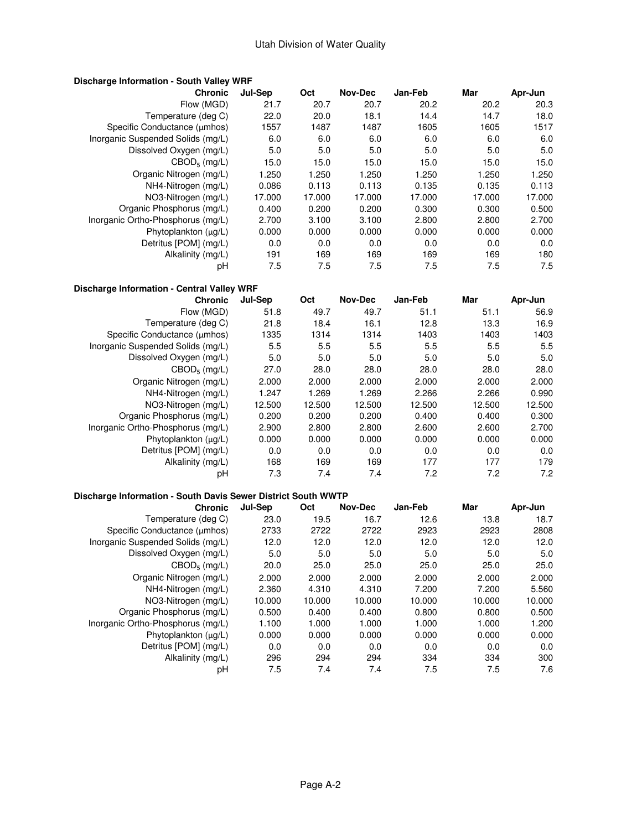| <b>Discharge Information - South Valley WRF</b>               |         |        |                |         |         |         |
|---------------------------------------------------------------|---------|--------|----------------|---------|---------|---------|
| <b>Chronic</b>                                                | Jul-Sep | Oct    | <b>Nov-Dec</b> | Jan-Feb | Mar     | Apr-Jun |
| Flow (MGD)                                                    | 21.7    | 20.7   | 20.7           | 20.2    | 20.2    | 20.3    |
| Temperature (deg C)                                           | 22.0    | 20.0   | 18.1           | 14.4    | 14.7    | 18.0    |
| Specific Conductance (µmhos)                                  | 1557    | 1487   | 1487           | 1605    | 1605    | 1517    |
| Inorganic Suspended Solids (mg/L)                             | 6.0     | 6.0    | 6.0            | 6.0     | 6.0     | 6.0     |
| Dissolved Oxygen (mg/L)                                       | 5.0     | 5.0    | 5.0            | 5.0     | 5.0     | 5.0     |
| $CBOD_5$ (mg/L)                                               | 15.0    | 15.0   | 15.0           | 15.0    | 15.0    | 15.0    |
| Organic Nitrogen (mg/L)                                       | 1.250   | 1.250  | 1.250          | 1.250   | 1.250   | 1.250   |
| NH4-Nitrogen (mg/L)                                           | 0.086   | 0.113  | 0.113          | 0.135   | 0.135   | 0.113   |
| NO3-Nitrogen (mg/L)                                           | 17.000  | 17.000 | 17.000         | 17.000  | 17.000  | 17.000  |
| Organic Phosphorus (mg/L)                                     | 0.400   | 0.200  | 0.200          | 0.300   | 0.300   | 0.500   |
| Inorganic Ortho-Phosphorus (mg/L)                             | 2.700   | 3.100  | 3.100          | 2.800   | 2.800   | 2.700   |
| Phytoplankton $(\mu g/L)$                                     | 0.000   | 0.000  | 0.000          | 0.000   | 0.000   | 0.000   |
| Detritus [POM] (mg/L)                                         | 0.0     | 0.0    | 0.0            | 0.0     | 0.0     | 0.0     |
| Alkalinity (mg/L)                                             | 191     | 169    | 169            | 169     | 169     | 180     |
| рH                                                            | 7.5     | 7.5    | 7.5            | 7.5     | 7.5     | 7.5     |
| Discharge Information - Central Valley WRF                    |         |        |                |         |         |         |
| <b>Chronic</b>                                                | Jul-Sep | Oct    | <b>Nov-Dec</b> | Jan-Feb | Mar     | Apr-Jun |
| Flow (MGD)                                                    | 51.8    | 49.7   | 49.7           | 51.1    | 51.1    | 56.9    |
| Temperature (deg C)                                           | 21.8    | 18.4   | 16.1           | 12.8    | 13.3    | 16.9    |
| Specific Conductance (µmhos)                                  | 1335    | 1314   | 1314           | 1403    | 1403    | 1403    |
| Inorganic Suspended Solids (mg/L)                             | 5.5     | 5.5    | 5.5            | 5.5     | 5.5     | 5.5     |
| Dissolved Oxygen (mg/L)                                       | 5.0     | 5.0    | 5.0            | 5.0     | 5.0     | 5.0     |
| $CBOD_5$ (mg/L)                                               | 27.0    | 28.0   | 28.0           | 28.0    | 28.0    | 28.0    |
| Organic Nitrogen (mg/L)                                       | 2.000   | 2.000  | 2.000          | 2.000   | 2.000   | 2.000   |
| NH4-Nitrogen (mg/L)                                           | 1.247   | 1.269  | 1.269          | 2.266   | 2.266   | 0.990   |
| NO3-Nitrogen (mg/L)                                           | 12.500  | 12.500 | 12.500         | 12.500  | 12.500  | 12.500  |
| Organic Phosphorus (mg/L)                                     | 0.200   | 0.200  | 0.200          | 0.400   | 0.400   | 0.300   |
| Inorganic Ortho-Phosphorus (mg/L)                             | 2.900   | 2.800  | 2.800          | 2.600   | 2.600   | 2.700   |
| Phytoplankton (µg/L)                                          | 0.000   | 0.000  | 0.000          | 0.000   | 0.000   | 0.000   |
| Detritus [POM] (mg/L)                                         | 0.0     | 0.0    | 0.0            | 0.0     | 0.0     | 0.0     |
| Alkalinity (mg/L)                                             | 168     | 169    | 169            | 177     | 177     | 179     |
| pH                                                            | 7.3     | 7.4    | 7.4            | 7.2     | 7.2     | 7.2     |
| Discharge Information - South Davis Sewer District South WWTP |         |        |                |         |         |         |
| <b>Chronic</b>                                                | Jul-Sep | Oct    | <b>Nov-Dec</b> | Jan-Feb | Mar     | Apr-Jun |
| Temperature (deg C)                                           | 23.0    | 19.5   | 16.7           | 12.6    | 13.8    | 18.7    |
| Specific Conductance (µmhos)                                  | 2733    | 2722   | 2722           | 2923    | 2923    | 2808    |
| Inorganic Suspended Solids (mg/L)                             | 12.0    | 12.0   | 12.0           | 12.0    | 12.0    | 12.0    |
| Dissolved Oxygen (mg/L)                                       | 5.0     | 5.0    | 5.0            | 5.0     | 5.0     | 5.0     |
| $CBOD_5$ (mg/L)                                               | 20.0    | 25.0   | 25.0           | 25.0    | 25.0    | 25.0    |
| Organic Nitrogen (mg/L)                                       | 2.000   | 2.000  | 2.000          | 2.000   | 2.000   | 2.000   |
| NH4-Nitrogen (mg/L)                                           | 2.360   | 4.310  | 4.310          | 7.200   | 7.200   | 5.560   |
| NO3-Nitrogen (mg/L)                                           | 10.000  | 10.000 | 10.000         | 10.000  | 10.000  | 10.000  |
| Organic Phosphorus (mg/L)                                     | 0.500   | 0.400  | 0.400          | 0.800   | 0.800   | 0.500   |
| Inorganic Ortho-Phosphorus (mg/L)                             | 1.100   | 1.000  | 1.000          | 1.000   | 1.000   | 1.200   |
| Phytoplankton (µg/L)                                          | 0.000   | 0.000  | 0.000          | 0.000   | 0.000   | 0.000   |
| Detritus [POM] (mg/L)                                         | 0.0     | 0.0    | 0.0            | 0.0     | 0.0     | 0.0     |
| Alkalinity (mg/L)                                             | 296     | 294    | 294            | 334     | 334     | 300     |
| рH                                                            | $7.5\,$ | 7.4    | 7.4            | 7.5     | $7.5\,$ | 7.6     |
|                                                               |         |        |                |         |         |         |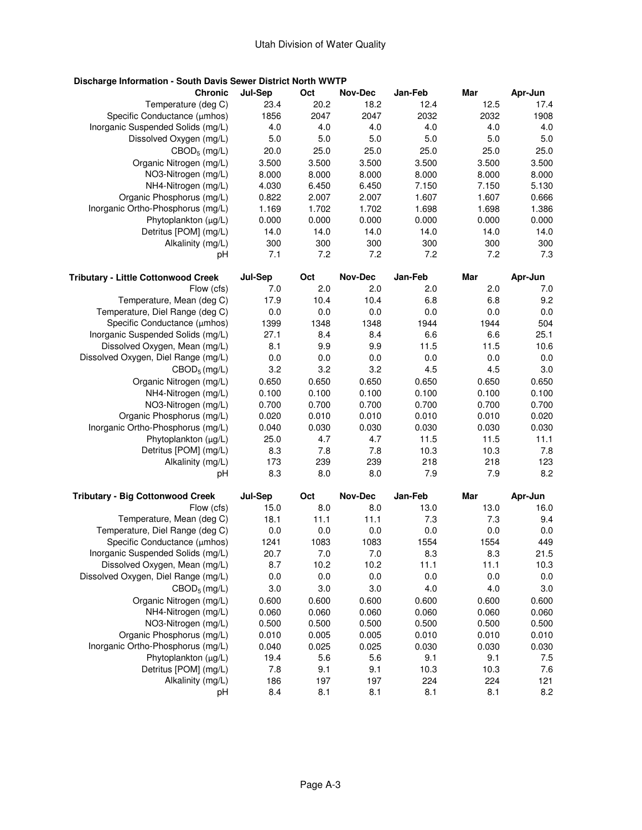# **Discharge Information - South Davis Sewer District North WWTP**

| <b>Chronic</b>                             | Jul-Sep | Oct   | <b>Nov-Dec</b> | Jan-Feb | Mar   | Apr-Jun |
|--------------------------------------------|---------|-------|----------------|---------|-------|---------|
| Temperature (deg C)                        | 23.4    | 20.2  | 18.2           | 12.4    | 12.5  | 17.4    |
| Specific Conductance (µmhos)               | 1856    | 2047  | 2047           | 2032    | 2032  | 1908    |
| Inorganic Suspended Solids (mg/L)          | 4.0     | 4.0   | 4.0            | 4.0     | 4.0   | 4.0     |
| Dissolved Oxygen (mg/L)                    | 5.0     | 5.0   | 5.0            | 5.0     | 5.0   | 5.0     |
| CBOD <sub>5</sub> (mg/L)                   | 20.0    | 25.0  | 25.0           | 25.0    | 25.0  | 25.0    |
| Organic Nitrogen (mg/L)                    | 3.500   | 3.500 | 3.500          | 3.500   | 3.500 | 3.500   |
| NO3-Nitrogen (mg/L)                        | 8.000   | 8.000 | 8.000          | 8.000   | 8.000 | 8.000   |
| NH4-Nitrogen (mg/L)                        | 4.030   | 6.450 | 6.450          | 7.150   | 7.150 | 5.130   |
| Organic Phosphorus (mg/L)                  | 0.822   | 2.007 | 2.007          | 1.607   | 1.607 | 0.666   |
| Inorganic Ortho-Phosphorus (mg/L)          | 1.169   | 1.702 | 1.702          | 1.698   | 1.698 | 1.386   |
| Phytoplankton (µg/L)                       | 0.000   | 0.000 | 0.000          | 0.000   | 0.000 | 0.000   |
| Detritus [POM] (mg/L)                      | 14.0    | 14.0  | 14.0           | 14.0    | 14.0  | 14.0    |
| Alkalinity (mg/L)                          | 300     | 300   | 300            | 300     | 300   | 300     |
| рH                                         | 7.1     | 7.2   | 7.2            | 7.2     | 7.2   | 7.3     |
| <b>Tributary - Little Cottonwood Creek</b> | Jul-Sep | Oct   | Nov-Dec        | Jan-Feb | Mar   | Apr-Jun |
| Flow (cfs)                                 | 7.0     | 2.0   | 2.0            | 2.0     | 2.0   | 7.0     |
| Temperature, Mean (deg C)                  | 17.9    | 10.4  | 10.4           | 6.8     | 6.8   | 9.2     |
| Temperature, Diel Range (deg C)            | 0.0     | 0.0   | 0.0            | 0.0     | 0.0   | 0.0     |
| Specific Conductance (µmhos)               | 1399    | 1348  | 1348           | 1944    | 1944  | 504     |
| Inorganic Suspended Solids (mg/L)          | 27.1    | 8.4   | 8.4            | 6.6     | 6.6   | 25.1    |
| Dissolved Oxygen, Mean (mg/L)              | 8.1     | 9.9   | 9.9            | 11.5    | 11.5  | 10.6    |
| Dissolved Oxygen, Diel Range (mg/L)        | 0.0     | 0.0   | 0.0            | 0.0     | 0.0   | 0.0     |
| CBOD <sub>5</sub> (mg/L)                   | 3.2     | 3.2   | 3.2            | 4.5     | 4.5   | 3.0     |
| Organic Nitrogen (mg/L)                    | 0.650   | 0.650 | 0.650          | 0.650   | 0.650 | 0.650   |
| NH4-Nitrogen (mg/L)                        | 0.100   | 0.100 | 0.100          | 0.100   | 0.100 | 0.100   |
| NO3-Nitrogen (mg/L)                        | 0.700   | 0.700 | 0.700          | 0.700   | 0.700 | 0.700   |
| Organic Phosphorus (mg/L)                  | 0.020   | 0.010 | 0.010          | 0.010   | 0.010 | 0.020   |
| Inorganic Ortho-Phosphorus (mg/L)          | 0.040   | 0.030 | 0.030          | 0.030   | 0.030 | 0.030   |
| Phytoplankton (µg/L)                       | 25.0    | 4.7   | 4.7            | 11.5    | 11.5  | 11.1    |
| Detritus [POM] (mg/L)                      | 8.3     | 7.8   | 7.8            | 10.3    | 10.3  | 7.8     |
| Alkalinity (mg/L)                          | 173     | 239   | 239            | 218     | 218   | 123     |
| рH                                         | 8.3     | 8.0   | 8.0            | 7.9     | 7.9   | 8.2     |
| <b>Tributary - Big Cottonwood Creek</b>    | Jul-Sep | Oct   | <b>Nov-Dec</b> | Jan-Feb | Mar   | Apr-Jun |
| Flow (cfs)                                 | 15.0    | 8.0   | 8.0            | 13.0    | 13.0  | 16.0    |
| Temperature, Mean (deg C)                  | 18.1    | 11.1  | 11.1           | 7.3     | 7.3   | 9.4     |
| Temperature, Diel Range (deg C)            | 0.0     | 0.0   | 0.0            | 0.0     | 0.0   | 0.0     |
| Specific Conductance (µmhos)               | 1241    | 1083  | 1083           | 1554    | 1554  | 449     |
| Inorganic Suspended Solids (mg/L)          | 20.7    | 7.0   | 7.0            | 8.3     | 8.3   | 21.5    |
| Dissolved Oxygen, Mean (mg/L)              | 8.7     | 10.2  | 10.2           | 11.1    | 11.1  | 10.3    |
| Dissolved Oxygen, Diel Range (mg/L)        | 0.0     | 0.0   | 0.0            | 0.0     | 0.0   | 0.0     |
| CBOD <sub>5</sub> (mg/L)                   | 3.0     | 3.0   | 3.0            | 4.0     | 4.0   | 3.0     |
| Organic Nitrogen (mg/L)                    | 0.600   | 0.600 | 0.600          | 0.600   | 0.600 | 0.600   |
| NH4-Nitrogen (mg/L)                        | 0.060   | 0.060 | 0.060          | 0.060   | 0.060 | 0.060   |
| NO3-Nitrogen (mg/L)                        | 0.500   | 0.500 | 0.500          | 0.500   | 0.500 | 0.500   |
| Organic Phosphorus (mg/L)                  | 0.010   | 0.005 | 0.005          | 0.010   | 0.010 | 0.010   |
| Inorganic Ortho-Phosphorus (mg/L)          | 0.040   | 0.025 | 0.025          | 0.030   | 0.030 | 0.030   |
| Phytoplankton (µg/L)                       | 19.4    | 5.6   | 5.6            | 9.1     | 9.1   | 7.5     |
| Detritus [POM] (mg/L)                      | 7.8     | 9.1   | 9.1            | 10.3    | 10.3  | 7.6     |
| Alkalinity (mg/L)                          | 186     | 197   | 197            | 224     | 224   | 121     |
| рH                                         | 8.4     | 8.1   | 8.1            | 8.1     | 8.1   | 8.2     |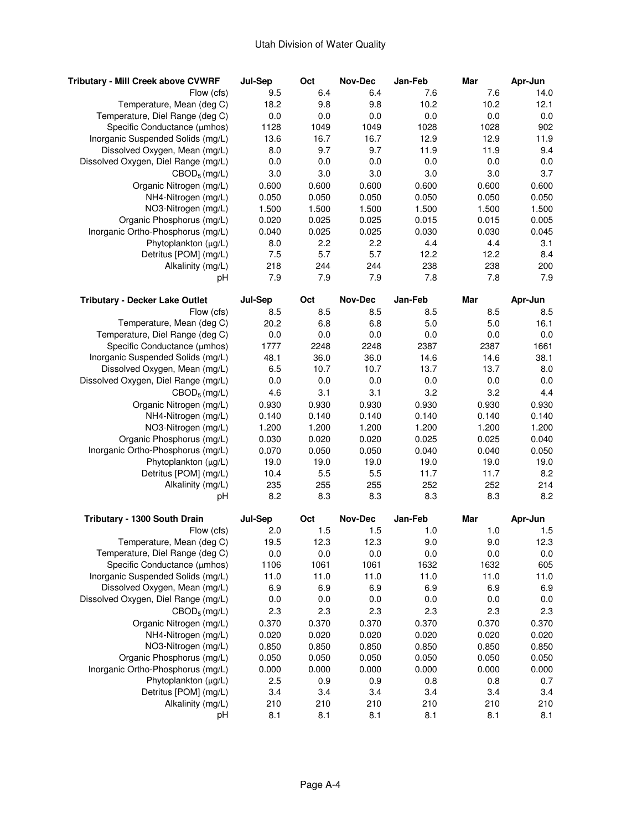| <b>Tributary - Mill Creek above CVWRF</b>                      | Jul-Sep        | Oct            | <b>Nov-Dec</b> | Jan-Feb        | Mar            | Apr-Jun        |
|----------------------------------------------------------------|----------------|----------------|----------------|----------------|----------------|----------------|
| Flow (cfs)                                                     | 9.5            | 6.4            | 6.4            | 7.6            | 7.6            | 14.0           |
| Temperature, Mean (deg C)                                      | 18.2           | 9.8            | 9.8            | 10.2           | 10.2           | 12.1           |
| Temperature, Diel Range (deg C)                                | 0.0            | 0.0            | 0.0            | 0.0            | 0.0            | 0.0            |
| Specific Conductance (µmhos)                                   | 1128           | 1049           | 1049           | 1028           | 1028           | 902            |
| Inorganic Suspended Solids (mg/L)                              | 13.6           | 16.7           | 16.7           | 12.9           | 12.9           | 11.9           |
| Dissolved Oxygen, Mean (mg/L)                                  | 8.0            | 9.7            | 9.7            | 11.9           | 11.9           | 9.4            |
| Dissolved Oxygen, Diel Range (mg/L)                            | 0.0            | 0.0            | 0.0            | 0.0            | 0.0            | 0.0            |
| $CBOD_5$ (mg/L)                                                | 3.0            | 3.0            | 3.0            | 3.0            | 3.0            | 3.7            |
| Organic Nitrogen (mg/L)                                        | 0.600          | 0.600          | 0.600          | 0.600          | 0.600          | 0.600          |
| NH4-Nitrogen (mg/L)                                            | 0.050          | 0.050          | 0.050          | 0.050          | 0.050          | 0.050          |
| NO3-Nitrogen (mg/L)                                            | 1.500          | 1.500          | 1.500          | 1.500          | 1.500          | 1.500          |
| Organic Phosphorus (mg/L)                                      | 0.020          | 0.025          | 0.025          | 0.015          | 0.015          | 0.005          |
| Inorganic Ortho-Phosphorus (mg/L)                              | 0.040          | 0.025          | 0.025          | 0.030          | 0.030          | 0.045          |
| Phytoplankton (µg/L)                                           | 8.0            | 2.2            | 2.2            | 4.4            | 4.4            | 3.1            |
| Detritus [POM] (mg/L)                                          | 7.5            | 5.7            | 5.7            | 12.2           | 12.2           | 8.4            |
| Alkalinity (mg/L)                                              | 218            | 244            | 244            | 238            | 238            | 200            |
| рH                                                             | 7.9            | 7.9            | 7.9            | 7.8            | 7.8            | 7.9            |
|                                                                |                |                |                |                |                |                |
| <b>Tributary - Decker Lake Outlet</b>                          | Jul-Sep        | Oct            | <b>Nov-Dec</b> | Jan-Feb        | Mar            | Apr-Jun        |
| Flow (cfs)                                                     | 8.5            | 8.5            | 8.5            | 8.5            | 8.5            | 8.5            |
| Temperature, Mean (deg C)                                      | 20.2           | 6.8            | 6.8            | 5.0            | 5.0            | 16.1           |
| Temperature, Diel Range (deg C)                                | 0.0            | 0.0            | 0.0            | 0.0            | 0.0            | 0.0            |
| Specific Conductance (µmhos)                                   | 1777           | 2248           | 2248           | 2387           | 2387           | 1661           |
| Inorganic Suspended Solids (mg/L)                              | 48.1           | 36.0           | 36.0           | 14.6           | 14.6           | 38.1           |
| Dissolved Oxygen, Mean (mg/L)                                  | 6.5            | 10.7           | 10.7           | 13.7           | 13.7           | 8.0            |
| Dissolved Oxygen, Diel Range (mg/L)                            | 0.0            | 0.0            | 0.0            | 0.0            | 0.0            | 0.0            |
| $CBOD_5$ (mg/L)                                                | 4.6            | 3.1            | 3.1            | 3.2            | 3.2            | 4.4            |
| Organic Nitrogen (mg/L)                                        | 0.930          | 0.930          | 0.930          | 0.930          | 0.930          | 0.930          |
| NH4-Nitrogen (mg/L)                                            | 0.140          | 0.140          | 0.140          | 0.140          | 0.140          | 0.140          |
| NO3-Nitrogen (mg/L)                                            | 1.200          | 1.200          | 1.200          | 1.200          | 1.200          | 1.200          |
| Organic Phosphorus (mg/L)                                      | 0.030          | 0.020          | 0.020          | 0.025          | 0.025          | 0.040          |
| Inorganic Ortho-Phosphorus (mg/L)                              | 0.070          | 0.050          | 0.050          | 0.040          | 0.040          | 0.050          |
| Phytoplankton $(\mu g/L)$                                      | 19.0           | 19.0           | 19.0           | 19.0           | 19.0           | 19.0           |
| Detritus [POM] (mg/L)                                          | 10.4           | 5.5            | 5.5            | 11.7           | 11.7           | 8.2            |
| Alkalinity (mg/L)                                              | 235            | 255            | 255            | 252            | 252            | 214            |
| рH                                                             | 8.2            | 8.3            | 8.3            | 8.3            | 8.3            | 8.2            |
| Tributary - 1300 South Drain                                   | Jul-Sep        | Oct            | <b>Nov-Dec</b> | Jan-Feb        | Mar            | Apr-Jun        |
| Flow (cfs)                                                     | 2.0            | 1.5            | 1.5            | 1.0            | 1.0            | 1.5            |
| Temperature, Mean (deg C)                                      | 19.5           | 12.3           | 12.3           | 9.0            | 9.0            | 12.3           |
| Temperature, Diel Range (deg C)                                | 0.0            | 0.0            | 0.0            | 0.0            | 0.0            | 0.0            |
| Specific Conductance (µmhos)                                   | 1106           | 1061           | 1061           | 1632           | 1632           | 605            |
| Inorganic Suspended Solids (mg/L)                              | 11.0           | 11.0           | 11.0           | 11.0           | 11.0           | 11.0           |
| Dissolved Oxygen, Mean (mg/L)                                  | 6.9            | 6.9            | 6.9            | 6.9            | 6.9            | 6.9            |
| Dissolved Oxygen, Diel Range (mg/L)                            | 0.0            | 0.0            | 0.0            | 0.0            | 0.0            | 0.0            |
| $CBOD_5$ (mg/L)                                                | 2.3            | 2.3            | 2.3            | 2.3            | 2.3            | 2.3            |
| Organic Nitrogen (mg/L)                                        | 0.370          | 0.370          | 0.370          | 0.370          | 0.370          | 0.370          |
| NH4-Nitrogen (mg/L)                                            | 0.020          |                |                | 0.020          |                | 0.020          |
|                                                                |                | 0.020          | 0.020          |                | 0.020          |                |
| NO3-Nitrogen (mg/L)                                            | 0.850          | 0.850          | 0.850          | 0.850<br>0.050 | 0.850          | 0.850          |
| Organic Phosphorus (mg/L)<br>Inorganic Ortho-Phosphorus (mg/L) | 0.050<br>0.000 | 0.050<br>0.000 | 0.050<br>0.000 | 0.000          | 0.050<br>0.000 | 0.050<br>0.000 |
| Phytoplankton (µg/L)                                           |                |                |                |                |                | 0.7            |
| Detritus [POM] (mg/L)                                          | 2.5            | 0.9            | 0.9            | 0.8            | 0.8            |                |
| Alkalinity (mg/L)                                              | 3.4            | 3.4            | 3.4            | 3.4            | 3.4            | 3.4            |
|                                                                | 210            | 210            | 210            | 210            | 210            | 210            |
| рH                                                             | 8.1            | 8.1            | 8.1            | 8.1            | 8.1            | 8.1            |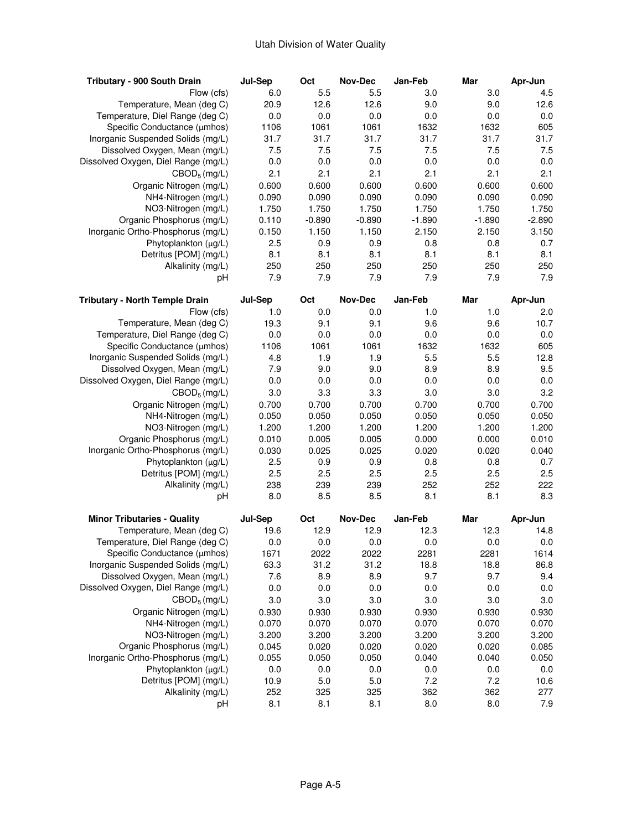| Tributary - 900 South Drain           | Jul-Sep        | Oct        | <b>Nov-Dec</b>        | Jan-Feb  | Mar      | Apr-Jun        |
|---------------------------------------|----------------|------------|-----------------------|----------|----------|----------------|
| Flow (cfs)                            | 6.0            | 5.5        | 5.5                   | 3.0      | 3.0      | 4.5            |
| Temperature, Mean (deg C)             | 20.9           | 12.6       | 12.6                  | 9.0      | 9.0      | 12.6           |
| Temperature, Diel Range (deg C)       | 0.0            | 0.0        | 0.0                   | 0.0      | 0.0      | 0.0            |
| Specific Conductance (µmhos)          | 1106           | 1061       | 1061                  | 1632     | 1632     | 605            |
| Inorganic Suspended Solids (mg/L)     | 31.7           | 31.7       | 31.7                  | 31.7     | 31.7     | 31.7           |
| Dissolved Oxygen, Mean (mg/L)         | 7.5            | 7.5        | 7.5                   | 7.5      | 7.5      | 7.5            |
| Dissolved Oxygen, Diel Range (mg/L)   | 0.0            | 0.0        | 0.0                   | 0.0      | 0.0      | 0.0            |
| $CBOD_5$ (mg/L)                       | 2.1            | 2.1        | 2.1                   | 2.1      | 2.1      | 2.1            |
| Organic Nitrogen (mg/L)               | 0.600          | 0.600      | 0.600                 | 0.600    | 0.600    | 0.600          |
| NH4-Nitrogen (mg/L)                   | 0.090          | 0.090      | 0.090                 | 0.090    | 0.090    | 0.090          |
| NO3-Nitrogen (mg/L)                   | 1.750          | 1.750      | 1.750                 | 1.750    | 1.750    | 1.750          |
| Organic Phosphorus (mg/L)             | 0.110          | $-0.890$   | $-0.890$              | $-1.890$ | $-1.890$ | $-2.890$       |
| Inorganic Ortho-Phosphorus (mg/L)     | 0.150          | 1.150      | 1.150                 | 2.150    | 2.150    | 3.150          |
| Phytoplankton (µg/L)                  | 2.5            | 0.9        | 0.9                   | 0.8      | 0.8      | 0.7            |
| Detritus [POM] (mg/L)                 | 8.1            | 8.1        | 8.1                   | 8.1      | 8.1      | 8.1            |
| Alkalinity (mg/L)                     | 250            | 250        | 250                   | 250      | 250      | 250            |
| рH                                    | 7.9            | 7.9        | 7.9                   | 7.9      | 7.9      | 7.9            |
| <b>Tributary - North Temple Drain</b> |                |            |                       | Jan-Feb  | Mar      |                |
| Flow (cfs)                            | Jul-Sep<br>1.0 | Oct<br>0.0 | <b>Nov-Dec</b><br>0.0 | 1.0      | 1.0      | Apr-Jun<br>2.0 |
| Temperature, Mean (deg C)             | 19.3           | 9.1        | 9.1                   | 9.6      | 9.6      | 10.7           |
| Temperature, Diel Range (deg C)       | 0.0            | 0.0        | 0.0                   | 0.0      | 0.0      | 0.0            |
| Specific Conductance (µmhos)          | 1106           | 1061       | 1061                  | 1632     | 1632     | 605            |
| Inorganic Suspended Solids (mg/L)     | 4.8            | 1.9        | 1.9                   | 5.5      | 5.5      | 12.8           |
|                                       |                | 9.0        | 9.0                   |          | 8.9      | 9.5            |
| Dissolved Oxygen, Mean (mg/L)         | 7.9            |            |                       | 8.9      |          |                |
| Dissolved Oxygen, Diel Range (mg/L)   | 0.0            | 0.0        | 0.0                   | 0.0      | 0.0      | 0.0            |
| $CBOD_5$ (mg/L)                       | 3.0            | 3.3        | 3.3                   | 3.0      | 3.0      | 3.2            |
| Organic Nitrogen (mg/L)               | 0.700          | 0.700      | 0.700                 | 0.700    | 0.700    | 0.700          |
| NH4-Nitrogen (mg/L)                   | 0.050          | 0.050      | 0.050                 | 0.050    | 0.050    | 0.050          |
| NO3-Nitrogen (mg/L)                   | 1.200          | 1.200      | 1.200                 | 1.200    | 1.200    | 1.200          |
| Organic Phosphorus (mg/L)             | 0.010          | 0.005      | 0.005                 | 0.000    | 0.000    | 0.010          |
| Inorganic Ortho-Phosphorus (mg/L)     | 0.030          | 0.025      | 0.025                 | 0.020    | 0.020    | 0.040          |
| Phytoplankton $(\mu g/L)$             | 2.5            | 0.9        | 0.9                   | 0.8      | 0.8      | 0.7            |
| Detritus [POM] (mg/L)                 | 2.5            | 2.5        | 2.5                   | 2.5      | 2.5      | 2.5            |
| Alkalinity (mg/L)                     | 238            | 239        | 239                   | 252      | 252      | 222            |
| рH                                    | 8.0            | 8.5        | 8.5                   | 8.1      | 8.1      | 8.3            |
| <b>Minor Tributaries - Quality</b>    | Jul-Sep        | Oct        | Nov-Dec               | Jan-Feb  | Mar      | Apr-Jun        |
| Temperature, Mean (deg C)             | 19.6           | 12.9       | 12.9                  | 12.3     | 12.3     | 14.8           |
| Temperature, Diel Range (deg C)       | 0.0            | 0.0        | 0.0                   | 0.0      | 0.0      | 0.0            |
| Specific Conductance (µmhos)          | 1671           | 2022       | 2022                  | 2281     | 2281     | 1614           |
| Inorganic Suspended Solids (mg/L)     | 63.3           | 31.2       | 31.2                  | 18.8     | 18.8     | 86.8           |
| Dissolved Oxygen, Mean (mg/L)         | 7.6            | 8.9        | 8.9                   | 9.7      | 9.7      | 9.4            |
| Dissolved Oxygen, Diel Range (mg/L)   | 0.0            | 0.0        | 0.0                   | 0.0      | 0.0      | 0.0            |
| $CBOD_5$ (mg/L)                       | 3.0            | 3.0        | 3.0                   | 3.0      | 3.0      | 3.0            |
| Organic Nitrogen (mg/L)               | 0.930          | 0.930      | 0.930                 | 0.930    | 0.930    | 0.930          |
| NH4-Nitrogen (mg/L)                   | 0.070          | 0.070      | 0.070                 | 0.070    | 0.070    | 0.070          |
| NO3-Nitrogen (mg/L)                   | 3.200          | 3.200      | 3.200                 | 3.200    | 3.200    | 3.200          |
| Organic Phosphorus (mg/L)             | 0.045          | 0.020      | 0.020                 | 0.020    | 0.020    | 0.085          |
| Inorganic Ortho-Phosphorus (mg/L)     | 0.055          | 0.050      | 0.050                 | 0.040    | 0.040    | 0.050          |
| Phytoplankton $(\mu g/L)$             | 0.0            | 0.0        | 0.0                   | 0.0      | 0.0      | 0.0            |
| Detritus [POM] (mg/L)                 | 10.9           | 5.0        | 5.0                   | 7.2      | 7.2      | 10.6           |
| Alkalinity (mg/L)                     | 252            | 325        | 325                   | 362      | 362      | 277            |
| рH                                    | 8.1            | 8.1        | 8.1                   | 8.0      | 8.0      | 7.9            |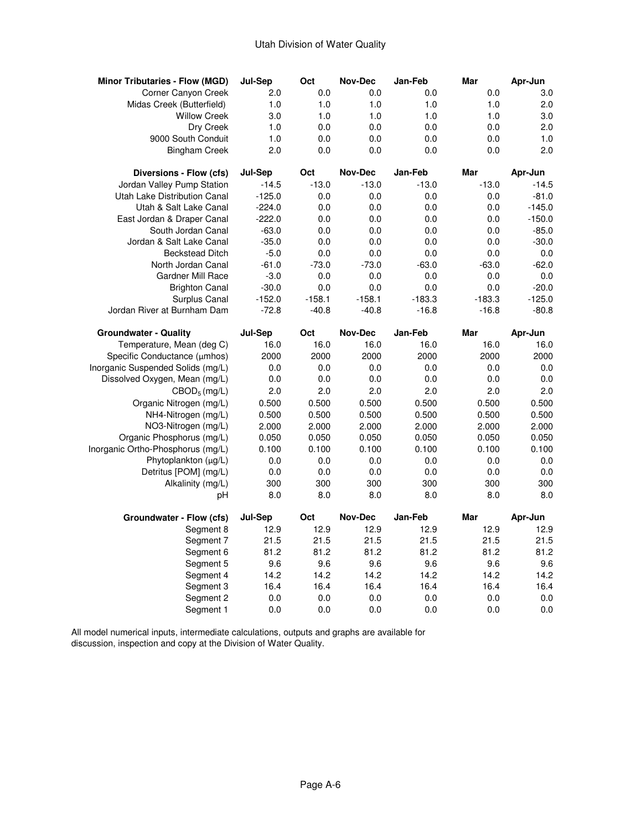| <b>Minor Tributaries - Flow (MGD)</b> | Jul-Sep    | Oct        | <b>Nov-Dec</b> | Jan-Feb    | Mar        | Apr-Jun    |
|---------------------------------------|------------|------------|----------------|------------|------------|------------|
| Corner Canyon Creek                   | 2.0        | 0.0        | 0.0            | 0.0        | 0.0        | 3.0        |
| Midas Creek (Butterfield)             | 1.0        | 1.0        | 1.0            | 1.0        | 1.0        | 2.0        |
| <b>Willow Creek</b>                   | 3.0        | 1.0        | 1.0            | 1.0        | 1.0        | 3.0        |
| Dry Creek                             | 1.0        | 0.0        | 0.0            | 0.0        | 0.0        | 2.0        |
| 9000 South Conduit                    | 1.0        | 0.0        | 0.0            | 0.0        | 0.0        | 1.0        |
| <b>Bingham Creek</b>                  | 2.0        | 0.0        | 0.0            | 0.0        | 0.0        | 2.0        |
| Diversions - Flow (cfs)               | Jul-Sep    | Oct        | <b>Nov-Dec</b> | Jan-Feb    | Mar        | Apr-Jun    |
| Jordan Valley Pump Station            | $-14.5$    | $-13.0$    | $-13.0$        | $-13.0$    | $-13.0$    | $-14.5$    |
| Utah Lake Distribution Canal          | $-125.0$   | 0.0        | 0.0            | 0.0        | 0.0        | $-81.0$    |
| Utah & Salt Lake Canal                | $-224.0$   | 0.0        | 0.0            | 0.0        | 0.0        | $-145.0$   |
| East Jordan & Draper Canal            | $-222.0$   | 0.0        | 0.0            | 0.0        | 0.0        | $-150.0$   |
| South Jordan Canal                    | $-63.0$    | 0.0        | 0.0            | 0.0        | 0.0        | $-85.0$    |
| Jordan & Salt Lake Canal              | $-35.0$    | 0.0        | 0.0            | 0.0        | 0.0        | $-30.0$    |
| <b>Beckstead Ditch</b>                | $-5.0$     | 0.0        | 0.0            | 0.0        | 0.0        | $0.0\,$    |
| North Jordan Canal                    | $-61.0$    | $-73.0$    | $-73.0$        | $-63.0$    | $-63.0$    | $-62.0$    |
| <b>Gardner Mill Race</b>              | $-3.0$     | 0.0        | 0.0            | 0.0        | 0.0        | 0.0        |
| <b>Brighton Canal</b>                 | $-30.0$    | 0.0        | 0.0            | 0.0        | 0.0        | $-20.0$    |
| Surplus Canal                         | $-152.0$   | $-158.1$   | $-158.1$       | $-183.3$   | $-183.3$   | $-125.0$   |
| Jordan River at Burnham Dam           | $-72.8$    | $-40.8$    | $-40.8$        | $-16.8$    | $-16.8$    | $-80.8$    |
| <b>Groundwater - Quality</b>          | Jul-Sep    | Oct        | Nov-Dec        | Jan-Feb    | Mar        | Apr-Jun    |
| Temperature, Mean (deg C)             | 16.0       | 16.0       | 16.0           | 16.0       | 16.0       | 16.0       |
| Specific Conductance (µmhos)          | 2000       | 2000       | 2000           | 2000       | 2000       | 2000       |
|                                       |            |            |                |            |            |            |
| Inorganic Suspended Solids (mg/L)     | 0.0        | 0.0        | 0.0            | 0.0        | 0.0        | 0.0        |
| Dissolved Oxygen, Mean (mg/L)         | 0.0        | 0.0        | 0.0            | 0.0        | 0.0        | 0.0        |
| $CBOD_5$ (mg/L)                       | 2.0        | 2.0        | 2.0            | 2.0        | 2.0        | 2.0        |
| Organic Nitrogen (mg/L)               | 0.500      | 0.500      | 0.500          | 0.500      | 0.500      | 0.500      |
| NH4-Nitrogen (mg/L)                   | 0.500      | 0.500      | 0.500          | 0.500      | 0.500      | 0.500      |
| NO3-Nitrogen (mg/L)                   | 2.000      | 2.000      | 2.000          | 2.000      | 2.000      | 2.000      |
| Organic Phosphorus (mg/L)             | 0.050      | 0.050      | 0.050          | 0.050      | 0.050      | 0.050      |
| Inorganic Ortho-Phosphorus (mg/L)     | 0.100      | 0.100      | 0.100          | 0.100      | 0.100      | 0.100      |
| Phytoplankton $(\mu g/L)$             | 0.0        | 0.0        | 0.0            | 0.0        | 0.0        | 0.0        |
| Detritus [POM] (mg/L)                 | 0.0        | 0.0        | 0.0            | 0.0        | 0.0        | 0.0        |
| Alkalinity (mg/L)                     | 300        | 300        | 300            | 300        | 300        | 300        |
| рH                                    | 8.0        | 8.0        | 8.0            | 8.0        | 8.0        | 8.0        |
| Groundwater - Flow (cfs)              | Jul-Sep    | Oct        | Nov-Dec        | Jan-Feb    | Mar        | Apr-Jun    |
| Segment 8                             | 12.9       | 12.9       | 12.9           | 12.9       | 12.9       | 12.9       |
| Segment 7                             | 21.5       | 21.5       | 21.5           | 21.5       | 21.5       | 21.5       |
| Segment 6                             | 81.2       | 81.2       | 81.2           | 81.2       | 81.2       | 81.2       |
| Segment 5                             | 9.6        | 9.6        | 9.6            | 9.6        | 9.6        | 9.6        |
| Segment 4                             | 14.2       | 14.2       | 14.2           | 14.2       | 14.2       | 14.2       |
| Segment 3                             | 16.4       | 16.4       | 16.4           | 16.4       | 16.4       | 16.4       |
| Segment 2<br>Segment 1                | 0.0<br>0.0 | 0.0<br>0.0 | 0.0<br>0.0     | 0.0<br>0.0 | 0.0<br>0.0 | 0.0<br>0.0 |

 All model numerical inputs, intermediate calculations, outputs and graphs are available for discussion, inspection and copy at the Division of Water Quality.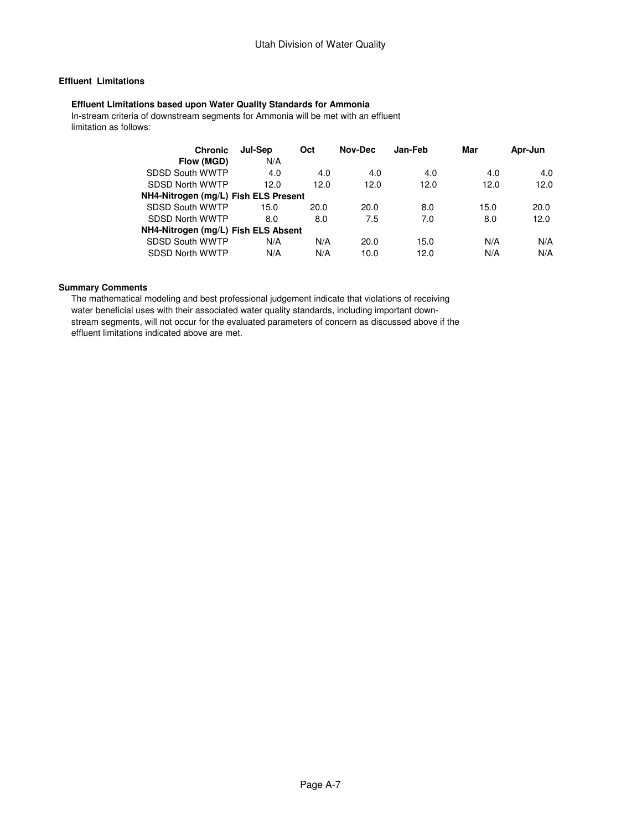# **Effluent Limitations**

### **Effluent Limitations based upon Water Quality Standards for Ammonia**

 In-stream criteria of downstream segments for Ammonia will be met with an effluent limitation as follows:

| <b>Chronic</b>                       | Jul-Sep | Oct  | Nov-Dec | Jan-Feb | Mar  | Apr-Jun |
|--------------------------------------|---------|------|---------|---------|------|---------|
| Flow (MGD)                           | N/A     |      |         |         |      |         |
| SDSD South WWTP                      | 4.0     | 4.0  | 4.0     | 4.0     | 4.0  | 4.0     |
| SDSD North WWTP                      | 12.0    | 12.0 | 12.0    | 12.0    | 12.0 | 12.0    |
| NH4-Nitrogen (mg/L) Fish ELS Present |         |      |         |         |      |         |
| SDSD South WWTP                      | 15.0    | 20.0 | 20.0    | 8.0     | 15.0 | 20.0    |
| SDSD North WWTP                      | 8.0     | 8.0  | 7.5     | 7.0     | 8.0  | 12.0    |
| NH4-Nitrogen (mg/L) Fish ELS Absent  |         |      |         |         |      |         |
| SDSD South WWTP                      | N/A     | N/A  | 20.0    | 15.0    | N/A  | N/A     |
| SDSD North WWTP                      | N/A     | N/A  | 10.0    | 12.0    | N/A  | N/A     |

#### **Summary Comments**

 The mathematical modeling and best professional judgement indicate that violations of receiving water beneficial uses with their associated water quality standards, including important down stream segments, will not occur for the evaluated parameters of concern as discussed above if the effluent limitations indicated above are met.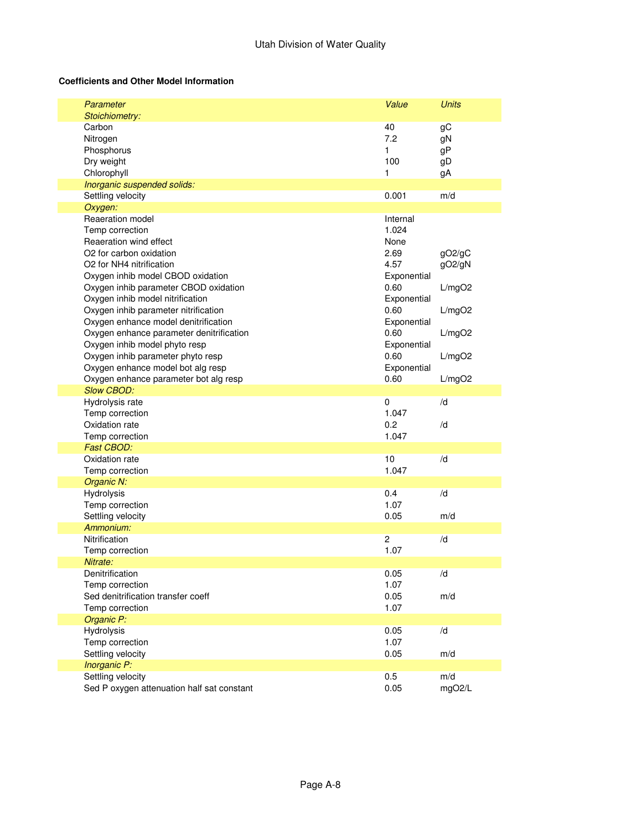## **Coefficients and Other Model Information**

| Parameter                                  | Value          | <b>Units</b> |
|--------------------------------------------|----------------|--------------|
| Stoichiometry:                             |                |              |
| Carbon                                     | 40             | gС           |
| Nitrogen                                   | 7.2            | gN           |
| Phosphorus                                 | 1              | gP           |
| Dry weight                                 | 100            | gD           |
| Chlorophyll                                | 1              | gA           |
| Inorganic suspended solids:                |                |              |
| Settling velocity                          | 0.001          | m/d          |
| Oxygen:                                    |                |              |
| Reaeration model                           | Internal       |              |
| Temp correction                            | 1.024          |              |
| Reaeration wind effect                     | None           |              |
| O2 for carbon oxidation                    | 2.69           | gO2/gC       |
| O2 for NH4 nitrification                   | 4.57           | gO2/gN       |
| Oxygen inhib model CBOD oxidation          | Exponential    |              |
| Oxygen inhib parameter CBOD oxidation      | 0.60           | L/mgO2       |
| Oxygen inhib model nitrification           | Exponential    |              |
| Oxygen inhib parameter nitrification       | 0.60           | L/mgO2       |
| Oxygen enhance model denitrification       | Exponential    |              |
| Oxygen enhance parameter denitrification   | 0.60           | L/mgO2       |
| Oxygen inhib model phyto resp              | Exponential    |              |
| Oxygen inhib parameter phyto resp          | 0.60           | L/mgO2       |
| Oxygen enhance model bot alg resp          | Exponential    |              |
| Oxygen enhance parameter bot alg resp      | 0.60           | L/mgO2       |
| <b>Slow CBOD:</b>                          |                |              |
| Hydrolysis rate                            | $\pmb{0}$      | /d           |
| Temp correction                            | 1.047          |              |
| Oxidation rate                             | 0.2            | /d           |
| Temp correction                            | 1.047          |              |
| <b>Fast CBOD:</b>                          |                |              |
| Oxidation rate                             | 10             | /d           |
| Temp correction                            | 1.047          |              |
| Organic N:                                 |                |              |
| Hydrolysis                                 | 0.4            | /d           |
| Temp correction                            | 1.07           |              |
| Settling velocity                          | 0.05           | m/d          |
| Ammonium:                                  |                |              |
| Nitrification                              | $\overline{c}$ | /d           |
| Temp correction                            | 1.07           |              |
| Nitrate:                                   |                |              |
| Denitrification                            | 0.05           | /d           |
| Temp correction                            | 1.07           |              |
| Sed denitrification transfer coeff         | 0.05           | m/d          |
| Temp correction                            | 1.07           |              |
| Organic P:                                 |                |              |
| Hydrolysis                                 | 0.05           | /d           |
| Temp correction                            | 1.07           |              |
| Settling velocity                          | 0.05           | m/d          |
| Inorganic P:                               |                |              |
| Settling velocity                          | 0.5            | m/d          |
| Sed P oxygen attenuation half sat constant | 0.05           | mgO2/L       |